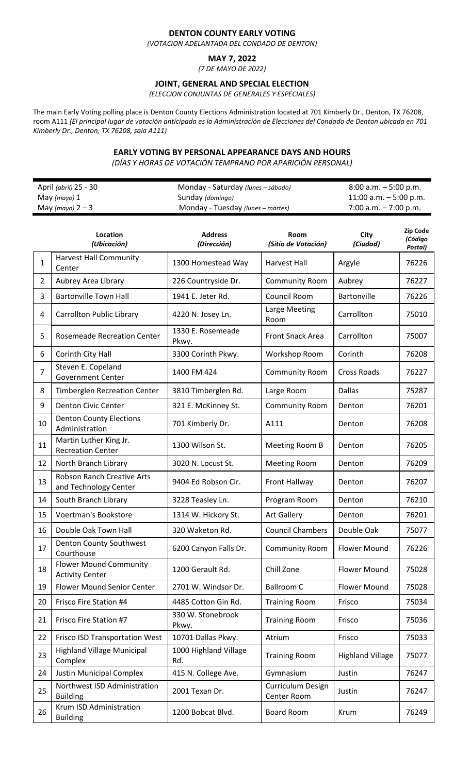## **DENTON COUNTY EARLY VOTING**

*(VOTACION ADELANTADA DEL CONDADO DE DENTON)*

## **MAY 7, 2022**

*(7 DE MAYO DE 2022)*

## **JOINT, GENERAL AND SPECIAL ELECTION**

*(ELECCION CONJUNTAS DE GENERALES Y ESPECIALES)*

The main Early Voting polling place is Denton County Elections Administration located at 701 Kimberly Dr., Denton, TX 76208, room A111 *(El principal lugar de votación anticipada es la Administración de Elecciones del Condado de Denton ubicada en 701 Kimberly Dr., Denton, TX 76208, sala A111)*

### **EARLY VOTING BY PERSONAL APPEARANCE DAYS AND HOURS**

*(DÍAS Y HORAS DE VOTACIÓN TEMPRANO POR APARICIÓN PERSONAL)*

| April (abril) 25 - 30 | Monday - Saturday (lunes – sábado) | $8:00$ a.m. $-5:00$ p.m.  |
|-----------------------|------------------------------------|---------------------------|
| May (mayo) 1          | Sunday (domingo)                   | $11:00$ a.m. $-5:00$ p.m. |
| May (mayo) $2-3$      | Monday - Tuesday (lunes – martes)  | $7:00$ a.m. $-7:00$ p.m.  |

|                | Location<br>(Ubicación)                                 | <b>Address</b><br>(Dirección) | Room<br>(Sitio de Votación)      | City<br>(Ciudad)        | <b>Zip Code</b><br>(Código<br>Postal) |
|----------------|---------------------------------------------------------|-------------------------------|----------------------------------|-------------------------|---------------------------------------|
| $\mathbf{1}$   | <b>Harvest Hall Community</b><br>Center                 | 1300 Homestead Way            | <b>Harvest Hall</b>              | Argyle                  | 76226                                 |
| $\overline{2}$ | Aubrey Area Library                                     | 226 Countryside Dr.           | <b>Community Room</b>            | Aubrey                  | 76227                                 |
| 3              | <b>Bartonville Town Hall</b>                            | 1941 E. Jeter Rd.             | Council Room                     | Bartonville             | 76226                                 |
| 4              | <b>Carrollton Public Library</b>                        | 4220 N. Josey Ln.             | Large Meeting<br>Room            | Carrollton              | 75010                                 |
| 5              | <b>Rosemeade Recreation Center</b>                      | 1330 E. Rosemeade<br>Pkwy.    | <b>Front Snack Area</b>          | Carrollton              | 75007                                 |
| 6              | Corinth City Hall                                       | 3300 Corinth Pkwy.            | Workshop Room                    | Corinth                 | 76208                                 |
| $\overline{7}$ | Steven E. Copeland<br><b>Government Center</b>          | 1400 FM 424                   | <b>Community Room</b>            | <b>Cross Roads</b>      | 76227                                 |
| 8              | <b>Timberglen Recreation Center</b>                     | 3810 Timberglen Rd.           | Large Room                       | <b>Dallas</b>           | 75287                                 |
| 9              | <b>Denton Civic Center</b>                              | 321 E. McKinney St.           | <b>Community Room</b>            | Denton                  | 76201                                 |
| 10             | <b>Denton County Elections</b><br>Administration        | 701 Kimberly Dr.              | A111                             | Denton                  | 76208                                 |
| 11             | Martin Luther King Jr.<br><b>Recreation Center</b>      | 1300 Wilson St.               | Meeting Room B                   | Denton                  | 76205                                 |
| 12             | North Branch Library                                    | 3020 N. Locust St.            | <b>Meeting Room</b>              | Denton                  | 76209                                 |
| 13             | Robson Ranch Creative Arts<br>and Technology Center     | 9404 Ed Robson Cir.           | Front Hallway                    | Denton                  | 76207                                 |
| 14             | South Branch Library                                    | 3228 Teasley Ln.              | Program Room                     | Denton                  | 76210                                 |
| 15             | Voertman's Bookstore                                    | 1314 W. Hickory St.           | <b>Art Gallery</b>               | Denton                  | 76201                                 |
| 16             | Double Oak Town Hall                                    | 320 Waketon Rd.               | <b>Council Chambers</b>          | Double Oak              | 75077                                 |
| 17             | Denton County Southwest<br>Courthouse                   | 6200 Canyon Falls Dr.         | <b>Community Room</b>            | <b>Flower Mound</b>     | 76226                                 |
| 18             | <b>Flower Mound Community</b><br><b>Activity Center</b> | 1200 Gerault Rd.              | Chill Zone                       | Flower Mound            | 75028                                 |
| 19             | Flower Mound Senior Center                              | 2701 W. Windsor Dr.           | <b>Ballroom C</b>                | <b>Flower Mound</b>     | 75028                                 |
| 20             | Frisco Fire Station #4                                  | 4485 Cotton Gin Rd.           | <b>Training Room</b>             | Frisco                  | 75034                                 |
| 21             | Frisco Fire Station #7                                  | 330 W. Stonebrook<br>Pkwy.    | <b>Training Room</b>             | Frisco                  | 75036                                 |
| 22             | Frisco ISD Transportation West                          | 10701 Dallas Pkwy.            | Atrium                           | Frisco                  | 75033                                 |
| 23             | <b>Highland Village Municipal</b><br>Complex            | 1000 Highland Village<br>Rd.  | <b>Training Room</b>             | <b>Highland Village</b> | 75077                                 |
| 24             | <b>Justin Municipal Complex</b>                         | 415 N. College Ave.           | Gymnasium                        | Justin                  | 76247                                 |
| 25             | Northwest ISD Administration<br><b>Building</b>         | 2001 Texan Dr.                | Curriculum Design<br>Center Room | Justin                  | 76247                                 |
| 26             | Krum ISD Administration<br><b>Building</b>              | 1200 Bobcat Blvd.             | Board Room                       | Krum                    | 76249                                 |